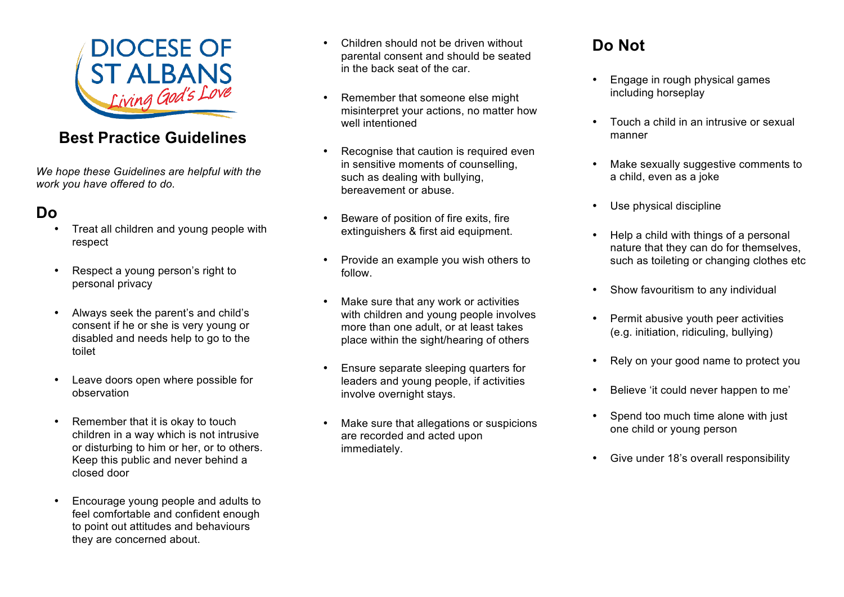

# **Best Practice Guidelines**

*We hope these Guidelines are helpful with the work you have offered to do.* 

# **Do**

- Treat all children and young people with respect
- Respect a young person's right to personal privacy
- Always seek the parent's and child's consent if he or she is very young or disabled and needs help to go to the toilet
- Leave doors open where possible for observation
- Remember that it is okay to touch children in a way which is not intrusive or disturbing to him or her, or to others. Keep this public and never behind a closed door
- Encourage young people and adults to feel comfortable and confident enough to point out attitudes and behaviours they are concerned about.
- Children should not be driven without parental consent and should be seated in the back seat of the car.
- Remember that someone else might misinterpret your actions, no matter how well intentioned
- Recognise that caution is required even in sensitive moments of counselling, such as dealing with bullying, bereavement or abuse.
- Beware of position of fire exits, fire extinguishers & first aid equipment.
- Provide an example you wish others to follow.
- Make sure that any work or activities with children and young people involves more than one adult, or at least takes place within the sight/hearing of others
- Ensure separate sleeping quarters for leaders and young people, if activities involve overnight stays.
- Make sure that allegations or suspicions are recorded and acted upon immediately.

# **Do Not**

- Engage in rough physical games including horseplay
- Touch a child in an intrusive or sexual manner
- Make sexually suggestive comments to a child, even as a joke
- Use physical discipline
- Help a child with things of a personal nature that they can do for themselves, such as toileting or changing clothes etc
- Show favouritism to any individual
- Permit abusive youth peer activities (e.g. initiation, ridiculing, bullying)
- Rely on your good name to protect you
- Believe 'it could never happen to me'
- Spend too much time alone with just one child or young person
- Give under 18's overall responsibility